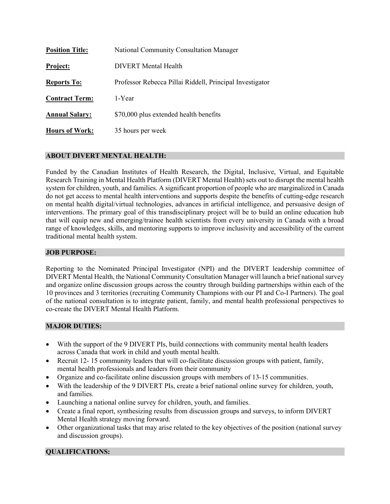| <b>Position Title:</b> | <b>National Community Consultation Manager</b>           |
|------------------------|----------------------------------------------------------|
| <b>Project:</b>        | DIVERT Mental Health                                     |
| <b>Reports To:</b>     | Professor Rebecca Pillai Riddell, Principal Investigator |
| <b>Contract Term:</b>  | 1-Year                                                   |
| <b>Annual Salary:</b>  | \$70,000 plus extended health benefits                   |
| <b>Hours of Work:</b>  | 35 hours per week                                        |

## **ABOUT DIVERT MENTAL HEALTH:**

Funded by the Canadian Institutes of Health Research, the Digital, Inclusive, Virtual, and Equitable Research Training in Mental Health Platform (DIVERT Mental Health) sets out to disrupt the mental health system for children, youth, and families. A significant proportion of people who are marginalized in Canada do not get access to mental health interventions and supports despite the benefits of cutting-edge research on mental health digital/virtual technologies, advances in artificial intelligence, and persuasive design of interventions. The primary goal of this transdisciplinary project will be to build an online education hub that will equip new and emerging/trainee health scientists from every university in Canada with a broad range of knowledges, skills, and mentoring supports to improve inclusivity and accessibility of the current traditional mental health system.

#### **JOB PURPOSE:**

Reporting to the Nominated Principal Investigator (NPI) and the DIVERT leadership committee of DIVERT Mental Health, the National Community Consultation Manager will launch a brief national survey and organize online discussion groups across the country through building partnerships within each of the 10 provinces and 3 territories (recruiting Community Champions with our PI and Co-I Partners). The goal of the national consultation is to integrate patient, family, and mental health professional perspectives to co-create the DIVERT Mental Health Platform.

#### **MAJOR DUTIES:**

- With the support of the 9 DIVERT PIs, build connections with community mental health leaders across Canada that work in child and youth mental health.
- Recruit 12- 15 community leaders that will co-facilitate discussion groups with patient, family, mental health professionals and leaders from their community
- Organize and co-facilitate online discussion groups with members of 13-15 communities.
- With the leadership of the 9 DIVERT PIs, create a brief national online survey for children, youth, and families.
- Launching a national online survey for children, youth, and families.
- Create a final report, synthesizing results from discussion groups and surveys, to inform DIVERT Mental Health strategy moving forward.
- Other organizational tasks that may arise related to the key objectives of the position (national survey and discussion groups).

### **QUALIFICATIONS:**